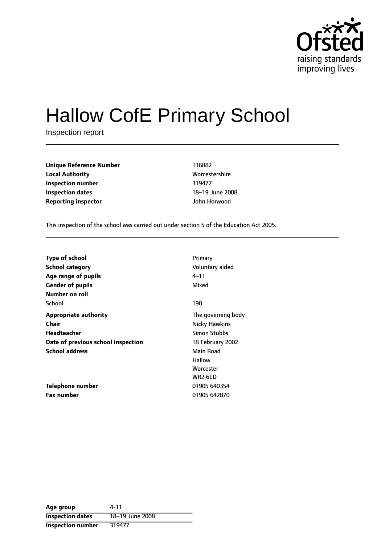

# Hallow CofE Primary School

Inspection report

**Unique Reference Number** 116882 **Local Authority** Morcestershire **Inspection number** 319477 **Inspection dates** 18-19 June 2008 **Reporting inspector** John Horwood

This inspection of the school was carried out under section 5 of the Education Act 2005.

| <b>Type of school</b><br>School category | Primary<br>Voluntary aided |
|------------------------------------------|----------------------------|
| Age range of pupils                      | 4–11                       |
| <b>Gender of pupils</b>                  | Mixed                      |
| Number on roll                           |                            |
| School                                   | 190                        |
| <b>Appropriate authority</b>             | The governing body         |
| Chair                                    | <b>Nicky Hawkins</b>       |
| Headteacher                              | Simon Stubbs               |
| Date of previous school inspection       | 18 February 2002           |
| <b>School address</b>                    | Main Road                  |
|                                          | <b>Hallow</b>              |
|                                          | Worcester                  |
|                                          | WR2 6LD                    |
| Telephone number                         | 01905 640354               |
| <b>Fax number</b>                        | 01905 642870               |

| Age group                | 4-11            |
|--------------------------|-----------------|
| <b>Inspection dates</b>  | 18-19 June 2008 |
| <b>Inspection number</b> | 319477          |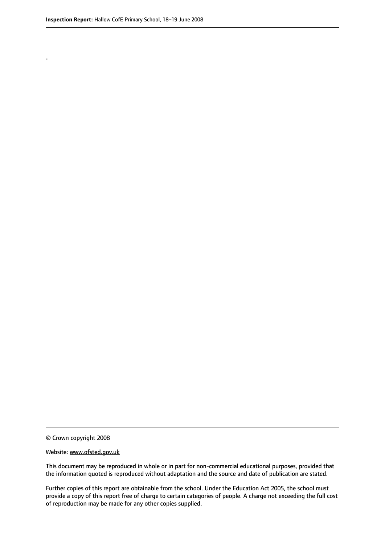.

© Crown copyright 2008

#### Website: www.ofsted.gov.uk

This document may be reproduced in whole or in part for non-commercial educational purposes, provided that the information quoted is reproduced without adaptation and the source and date of publication are stated.

Further copies of this report are obtainable from the school. Under the Education Act 2005, the school must provide a copy of this report free of charge to certain categories of people. A charge not exceeding the full cost of reproduction may be made for any other copies supplied.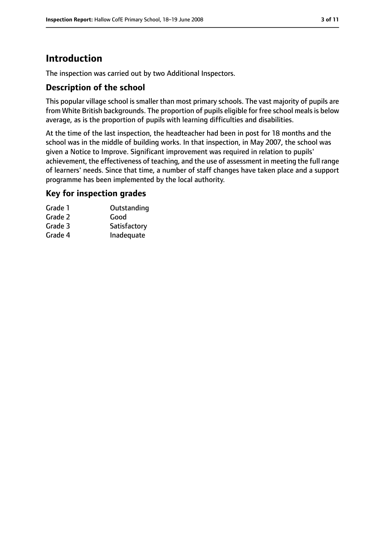# **Introduction**

The inspection was carried out by two Additional Inspectors.

#### **Description of the school**

This popular village school is smaller than most primary schools. The vast majority of pupils are from White British backgrounds. The proportion of pupils eligible for free school meals is below average, as is the proportion of pupils with learning difficulties and disabilities.

At the time of the last inspection, the headteacher had been in post for 18 months and the school was in the middle of building works. In that inspection, in May 2007, the school was given a Notice to Improve. Significant improvement was required in relation to pupils' achievement, the effectiveness of teaching, and the use of assessment in meeting the full range of learners' needs. Since that time, a number of staff changes have taken place and a support programme has been implemented by the local authority.

#### **Key for inspection grades**

| Grade 1 | Outstanding  |
|---------|--------------|
| Grade 2 | Good         |
| Grade 3 | Satisfactory |
| Grade 4 | Inadequate   |
|         |              |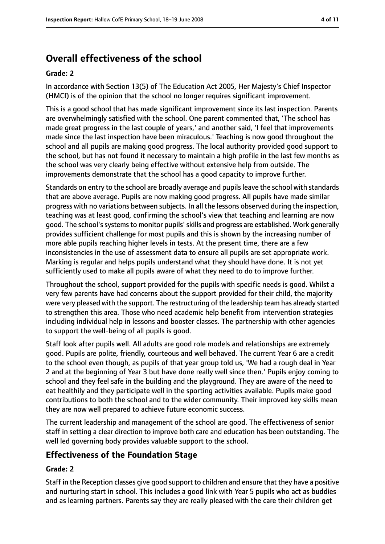# **Overall effectiveness of the school**

#### **Grade: 2**

In accordance with Section 13(5) of The Education Act 2005, Her Majesty's Chief Inspector (HMCI) is of the opinion that the school no longer requires significant improvement.

This is a good school that has made significant improvement since its last inspection. Parents are overwhelmingly satisfied with the school. One parent commented that, 'The school has made great progress in the last couple of years,' and another said, 'I feel that improvements made since the last inspection have been miraculous.' Teaching is now good throughout the school and all pupils are making good progress. The local authority provided good support to the school, but has not found it necessary to maintain a high profile in the last few months as the school was very clearly being effective without extensive help from outside. The improvements demonstrate that the school has a good capacity to improve further.

Standards on entry to the school are broadly average and pupilsleave the school with standards that are above average. Pupils are now making good progress. All pupils have made similar progress with no variations between subjects. In all the lessons observed during the inspection, teaching was at least good, confirming the school's view that teaching and learning are now good. The school's systems to monitor pupils' skills and progress are established. Work generally provides sufficient challenge for most pupils and this is shown by the increasing number of more able pupils reaching higher levels in tests. At the present time, there are a few inconsistencies in the use of assessment data to ensure all pupils are set appropriate work. Marking is regular and helps pupils understand what they should have done. It is not yet sufficiently used to make all pupils aware of what they need to do to improve further.

Throughout the school, support provided for the pupils with specific needs is good. Whilst a very few parents have had concerns about the support provided for their child, the majority were very pleased with the support. The restructuring of the leadership team has already started to strengthen this area. Those who need academic help benefit from intervention strategies including individual help in lessons and booster classes. The partnership with other agencies to support the well-being of all pupils is good.

Staff look after pupils well. All adults are good role models and relationships are extremely good. Pupils are polite, friendly, courteous and well behaved. The current Year 6 are a credit to the school even though, as pupils of that year group told us, 'We had a rough deal in Year 2 and at the beginning of Year 3 but have done really well since then.' Pupils enjoy coming to school and they feel safe in the building and the playground. They are aware of the need to eat healthily and they participate well in the sporting activities available. Pupils make good contributions to both the school and to the wider community. Their improved key skills mean they are now well prepared to achieve future economic success.

The current leadership and management of the school are good. The effectiveness of senior staff in setting a clear direction to improve both care and education has been outstanding. The well led governing body provides valuable support to the school.

#### **Effectiveness of the Foundation Stage**

#### **Grade: 2**

Staff in the Reception classes give good support to children and ensure that they have a positive and nurturing start in school. This includes a good link with Year 5 pupils who act as buddies and as learning partners. Parents say they are really pleased with the care their children get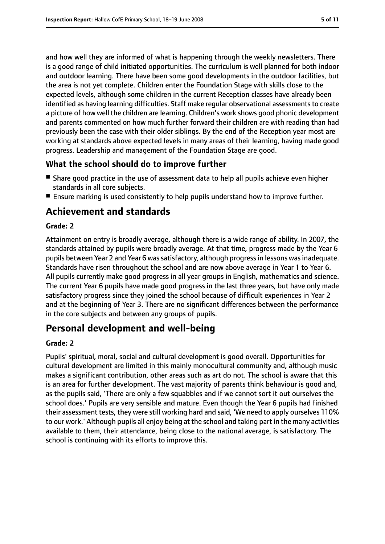and how well they are informed of what is happening through the weekly newsletters. There is a good range of child initiated opportunities. The curriculum is well planned for both indoor and outdoor learning. There have been some good developments in the outdoor facilities, but the area is not yet complete. Children enter the Foundation Stage with skills close to the expected levels, although some children in the current Reception classes have already been identified as having learning difficulties. Staff make regular observational assessments to create a picture of how well the children are learning. Children's work shows good phonic development and parents commented on how much further forward their children are with reading than had previously been the case with their older siblings. By the end of the Reception year most are working at standards above expected levels in many areas of their learning, having made good progress. Leadership and management of the Foundation Stage are good.

#### **What the school should do to improve further**

- Share good practice in the use of assessment data to help all pupils achieve even higher standards in all core subjects.
- Ensure marking is used consistently to help pupils understand how to improve further.

# **Achievement and standards**

#### **Grade: 2**

Attainment on entry is broadly average, although there is a wide range of ability. In 2007, the standards attained by pupils were broadly average. At that time, progress made by the Year 6 pupils between Year 2 and Year 6 was satisfactory, although progress in lessons was inadequate. Standards have risen throughout the school and are now above average in Year 1 to Year 6. All pupils currently make good progress in all year groups in English, mathematics and science. The current Year 6 pupils have made good progress in the last three years, but have only made satisfactory progress since they joined the school because of difficult experiences in Year 2 and at the beginning of Year 3. There are no significant differences between the performance in the core subjects and between any groups of pupils.

# **Personal development and well-being**

#### **Grade: 2**

Pupils' spiritual, moral, social and cultural development is good overall. Opportunities for cultural development are limited in this mainly monocultural community and, although music makes a significant contribution, other areas such as art do not. The school is aware that this is an area for further development. The vast majority of parents think behaviour is good and, as the pupils said, 'There are only a few squabbles and if we cannot sort it out ourselves the school does.' Pupils are very sensible and mature. Even though the Year 6 pupils had finished their assessment tests, they were still working hard and said, 'We need to apply ourselves 110% to our work.' Although pupils all enjoy being at the school and taking part in the many activities available to them, their attendance, being close to the national average, is satisfactory. The school is continuing with its efforts to improve this.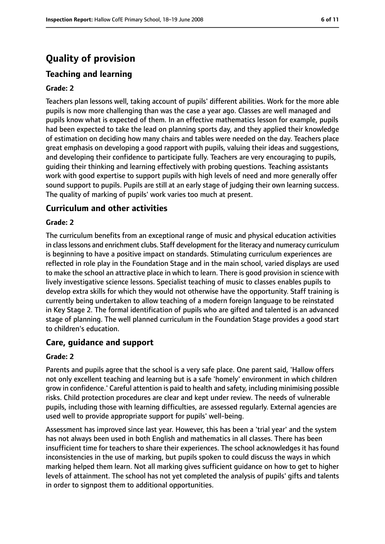# **Quality of provision**

### **Teaching and learning**

#### **Grade: 2**

Teachers plan lessons well, taking account of pupils' different abilities. Work for the more able pupils is now more challenging than was the case a year ago. Classes are well managed and pupils know what is expected of them. In an effective mathematics lesson for example, pupils had been expected to take the lead on planning sports day, and they applied their knowledge of estimation on deciding how many chairs and tables were needed on the day. Teachers place great emphasis on developing a good rapport with pupils, valuing their ideas and suggestions, and developing their confidence to participate fully. Teachers are very encouraging to pupils, guiding their thinking and learning effectively with probing questions. Teaching assistants work with good expertise to support pupils with high levels of need and more generally offer sound support to pupils. Pupils are still at an early stage of judging their own learning success. The quality of marking of pupils' work varies too much at present.

#### **Curriculum and other activities**

#### **Grade: 2**

The curriculum benefits from an exceptional range of music and physical education activities in classlessons and enrichment clubs. Staff development for the literacy and numeracy curriculum is beginning to have a positive impact on standards. Stimulating curriculum experiences are reflected in role play in the Foundation Stage and in the main school, varied displays are used to make the school an attractive place in which to learn. There is good provision in science with lively investigative science lessons. Specialist teaching of music to classes enables pupils to develop extra skills for which they would not otherwise have the opportunity. Staff training is currently being undertaken to allow teaching of a modern foreign language to be reinstated in Key Stage 2. The formal identification of pupils who are gifted and talented is an advanced stage of planning. The well planned curriculum in the Foundation Stage provides a good start to children's education.

#### **Care, guidance and support**

#### **Grade: 2**

Parents and pupils agree that the school is a very safe place. One parent said, 'Hallow offers not only excellent teaching and learning but is a safe 'homely' environment in which children grow in confidence.' Careful attention is paid to health and safety, including minimising possible risks. Child protection procedures are clear and kept under review. The needs of vulnerable pupils, including those with learning difficulties, are assessed regularly. External agencies are used well to provide appropriate support for pupils' well-being.

Assessment has improved since last year. However, this has been a 'trial year' and the system has not always been used in both English and mathematics in all classes. There has been insufficient time for teachers to share their experiences. The school acknowledges it has found inconsistencies in the use of marking, but pupils spoken to could discuss the ways in which marking helped them learn. Not all marking gives sufficient guidance on how to get to higher levels of attainment. The school has not yet completed the analysis of pupils' gifts and talents in order to signpost them to additional opportunities.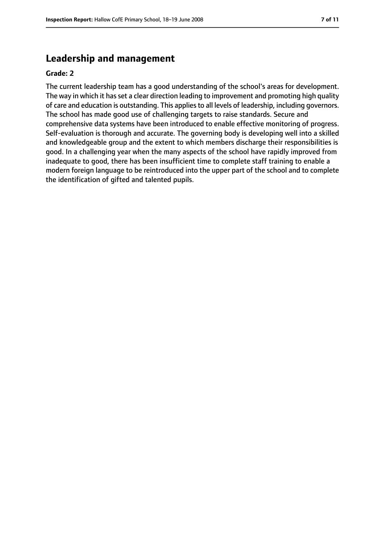#### **Leadership and management**

#### **Grade: 2**

The current leadership team has a good understanding of the school's areas for development. The way in which it has set a clear direction leading to improvement and promoting high quality of care and education is outstanding. This appliesto all levels of leadership, including governors. The school has made good use of challenging targets to raise standards. Secure and comprehensive data systems have been introduced to enable effective monitoring of progress. Self-evaluation is thorough and accurate. The governing body is developing well into a skilled and knowledgeable group and the extent to which members discharge their responsibilities is good. In a challenging year when the many aspects of the school have rapidly improved from inadequate to good, there has been insufficient time to complete staff training to enable a modern foreign language to be reintroduced into the upper part of the school and to complete the identification of gifted and talented pupils.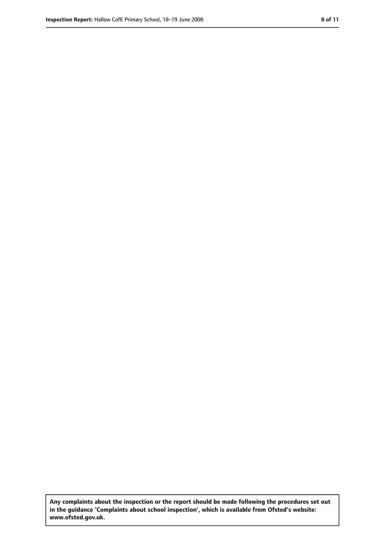**Any complaints about the inspection or the report should be made following the procedures set out in the guidance 'Complaints about school inspection', which is available from Ofsted's website: www.ofsted.gov.uk.**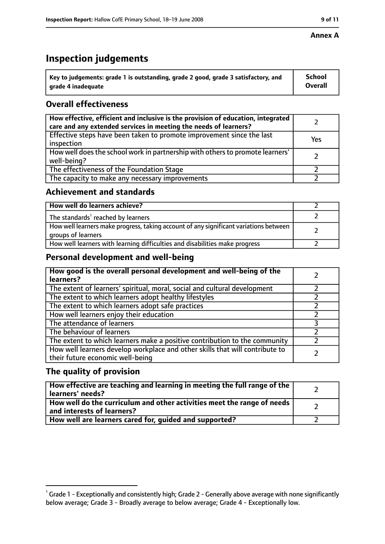#### **Annex A**

# **Inspection judgements**

| $^{\backprime}$ Key to judgements: grade 1 is outstanding, grade 2 good, grade 3 satisfactory, and | <b>School</b>  |
|----------------------------------------------------------------------------------------------------|----------------|
| arade 4 inadequate                                                                                 | <b>Overall</b> |

### **Overall effectiveness**

| How effective, efficient and inclusive is the provision of education, integrated<br>care and any extended services in meeting the needs of learners? |     |
|------------------------------------------------------------------------------------------------------------------------------------------------------|-----|
| Effective steps have been taken to promote improvement since the last<br>inspection                                                                  | Yes |
| How well does the school work in partnership with others to promote learners'<br>well-being?                                                         |     |
| The effectiveness of the Foundation Stage                                                                                                            |     |
| The capacity to make any necessary improvements                                                                                                      |     |

#### **Achievement and standards**

| How well do learners achieve?                                                                               |  |
|-------------------------------------------------------------------------------------------------------------|--|
| The standards <sup>1</sup> reached by learners                                                              |  |
| How well learners make progress, taking account of any significant variations between<br>groups of learners |  |
| How well learners with learning difficulties and disabilities make progress                                 |  |

#### **Personal development and well-being**

| How good is the overall personal development and well-being of the<br>learners?                                  |  |
|------------------------------------------------------------------------------------------------------------------|--|
| The extent of learners' spiritual, moral, social and cultural development                                        |  |
| The extent to which learners adopt healthy lifestyles                                                            |  |
| The extent to which learners adopt safe practices                                                                |  |
| How well learners enjoy their education                                                                          |  |
| The attendance of learners                                                                                       |  |
| The behaviour of learners                                                                                        |  |
| The extent to which learners make a positive contribution to the community                                       |  |
| How well learners develop workplace and other skills that will contribute to<br>their future economic well-being |  |

#### **The quality of provision**

| How effective are teaching and learning in meeting the full range of the<br>learners' needs?          |  |
|-------------------------------------------------------------------------------------------------------|--|
| How well do the curriculum and other activities meet the range of needs<br>and interests of learners? |  |
| How well are learners cared for, guided and supported?                                                |  |

 $^1$  Grade 1 - Exceptionally and consistently high; Grade 2 - Generally above average with none significantly below average; Grade 3 - Broadly average to below average; Grade 4 - Exceptionally low.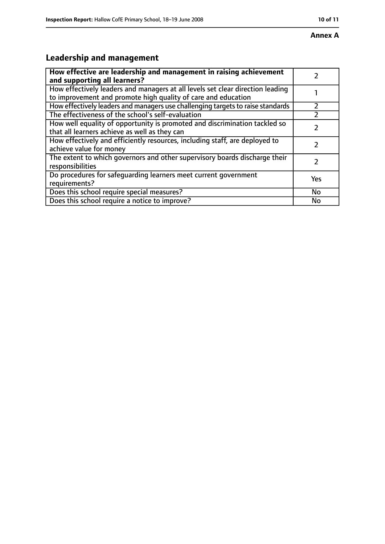# **Leadership and management**

| How effective are leadership and management in raising achievement<br>and supporting all learners?                                              |     |
|-------------------------------------------------------------------------------------------------------------------------------------------------|-----|
| How effectively leaders and managers at all levels set clear direction leading<br>to improvement and promote high quality of care and education |     |
| How effectively leaders and managers use challenging targets to raise standards                                                                 |     |
| The effectiveness of the school's self-evaluation                                                                                               |     |
| How well equality of opportunity is promoted and discrimination tackled so<br>that all learners achieve as well as they can                     |     |
| How effectively and efficiently resources, including staff, are deployed to<br>achieve value for money                                          | フ   |
| The extent to which governors and other supervisory boards discharge their<br>responsibilities                                                  | 7   |
| Do procedures for safequarding learners meet current government<br>requirements?                                                                | Yes |
| Does this school require special measures?                                                                                                      | No  |
| Does this school require a notice to improve?                                                                                                   | No  |